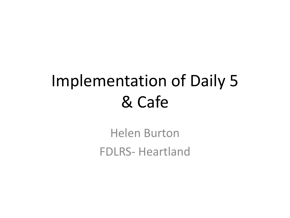#### Implementation of Daily 5 & Cafe

Helen Burton FDLRS- Heartland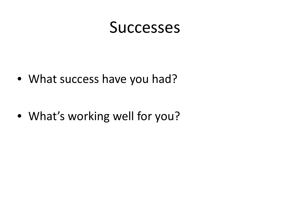#### **Successes**

• What success have you had?

• What's working well for you?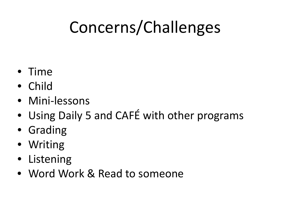# Concerns/Challenges

- Time
- Child
- Mini-lessons
- Using Daily 5 and CAFÉ with other programs
- Grading
- Writing
- Listening
- Word Work & Read to someone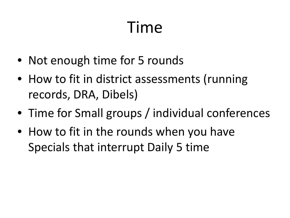#### Time

- Not enough time for 5 rounds
- How to fit in district assessments (running records, DRA, Dibels)
- Time for Small groups / individual conferences
- How to fit in the rounds when you have Specials that interrupt Daily 5 time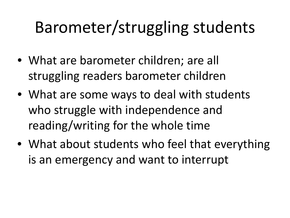## Barometer/struggling students

- What are barometer children; are all struggling readers barometer children
- What are some ways to deal with students who struggle with independence and reading/writing for the whole time
- What about students who feel that everything is an emergency and want to interrupt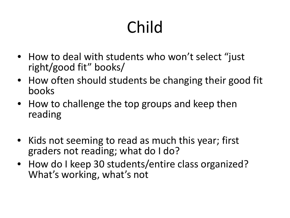# Child

- How to deal with students who won't select "just" right/good fit" books/
- How often should students be changing their good fit books
- How to challenge the top groups and keep then reading
- Kids not seeming to read as much this year; first graders not reading; what do I do?
- How do I keep 30 students/entire class organized? What's working, what's not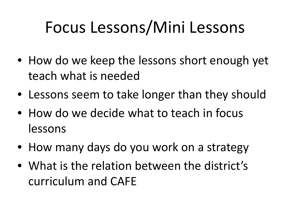#### Focus Lessons/Mini Lessons

- How do we keep the lessons short enough yet teach what is needed
- Lessons seem to take longer than they should
- How do we decide what to teach in focus lessons
- How many days do you work on a strategy
- What is the relation between the district's curriculum and CAFE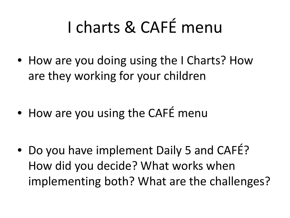# I charts & CAFÉ menu

• How are you doing using the I Charts? How are they working for your children

• How are you using the CAFÉ menu

• Do you have implement Daily 5 and CAFE? How did you decide? What works when implementing both? What are the challenges?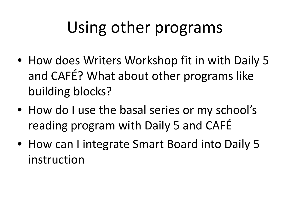### Using other programs

- How does Writers Workshop fit in with Daily 5 and CAFÉ? What about other programs like building blocks?
- How do I use the basal series or my school's reading program with Daily 5 and CAFÉ
- How can I integrate Smart Board into Daily 5 instruction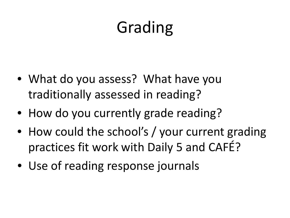## Grading

- What do you assess? What have you traditionally assessed in reading?
- How do you currently grade reading?
- How could the school's / your current grading practices fit work with Daily 5 and CAFÉ?
- Use of reading response journals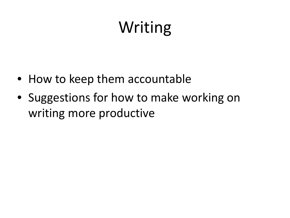### Writing

- How to keep them accountable
- Suggestions for how to make working on writing more productive